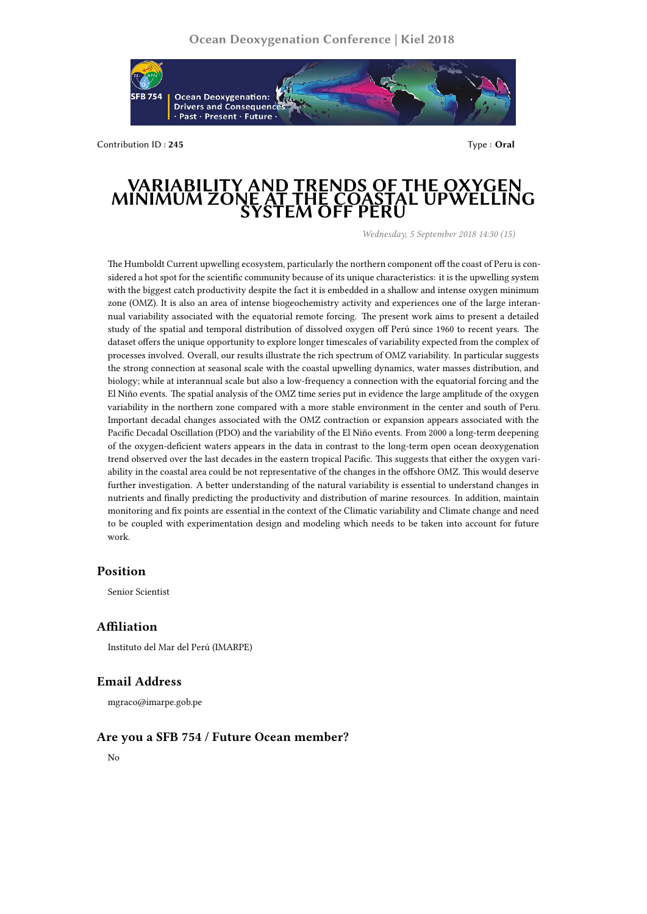

Contribution ID : **245** Type : **Oral**

# **VARIABILITY AND TRENDS OF THE OXYGEN MINIMUM ZON SYSTEM OFF PERU**

*Wednesday, 5 September 2018 14:30 (15)*

The Humboldt Current upwelling ecosystem, particularly the northern component off the coast of Peru is considered a hot spot for the scientific community because of its unique characteristics: it is the upwelling system with the biggest catch productivity despite the fact it is embedded in a shallow and intense oxygen minimum zone (OMZ). It is also an area of intense biogeochemistry activity and experiences one of the large interannual variability associated with the equatorial remote forcing. The present work aims to present a detailed study of the spatial and temporal distribution of dissolved oxygen off Perú since 1960 to recent years. The dataset offers the unique opportunity to explore longer timescales of variability expected from the complex of processes involved. Overall, our results illustrate the rich spectrum of OMZ variability. In particular suggests the strong connection at seasonal scale with the coastal upwelling dynamics, water masses distribution, and biology; while at interannual scale but also a low-frequency a connection with the equatorial forcing and the El Niño events. The spatial analysis of the OMZ time series put in evidence the large amplitude of the oxygen variability in the northern zone compared with a more stable environment in the center and south of Peru. Important decadal changes associated with the OMZ contraction or expansion appears associated with the Pacific Decadal Oscillation (PDO) and the variability of the El Niño events. From 2000 a long-term deepening of the oxygen-deficient waters appears in the data in contrast to the long-term open ocean deoxygenation trend observed over the last decades in the eastern tropical Pacific. This suggests that either the oxygen variability in the coastal area could be not representative of the changes in the offshore OMZ. This would deserve further investigation. A better understanding of the natural variability is essential to understand changes in nutrients and finally predicting the productivity and distribution of marine resources. In addition, maintain monitoring and fix points are essential in the context of the Climatic variability and Climate change and need to be coupled with experimentation design and modeling which needs to be taken into account for future work.

#### **Position**

Senior Scientist

## **Affiliation**

Instituto del Mar del Perú (IMARPE)

## **Email Address**

mgraco@imarpe.gob.pe

#### **Are you a SFB 754 / Future Ocean member?**

No